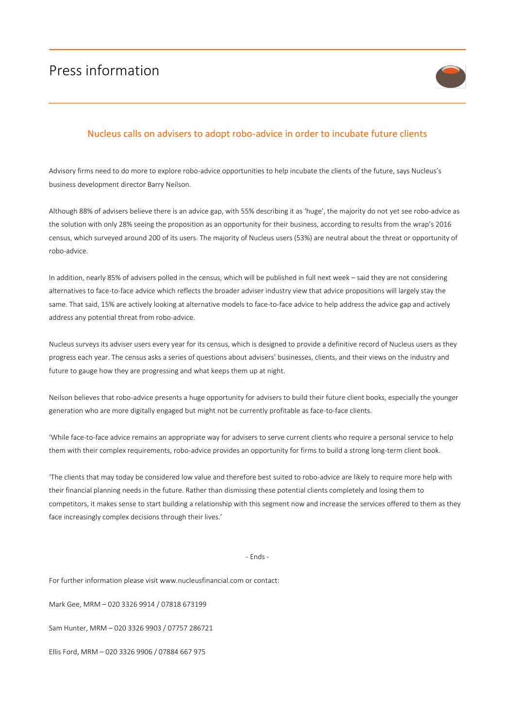## Press information



## Nucleus calls on advisers to adopt robo-advice in order to incubate future clients

Advisory firms need to do more to explore robo-advice opportunities to help incubate the clients of the future, says Nucleus's business development director Barry Neilson.

Although 88% of advisers believe there is an advice gap, with 55% describing it as 'huge', the majority do not yet see robo-advice as the solution with only 28% seeing the proposition as an opportunity for their business, according to results from the wrap's 2016 census, which surveyed around 200 of its users. The majority of Nucleus users (53%) are neutral about the threat or opportunity of robo-advice.

In addition, nearly 85% of advisers polled in the census, which will be published in full next week – said they are not considering alternatives to face-to-face advice which reflects the broader adviser industry view that advice propositions will largely stay the same. That said, 15% are actively looking at alternative models to face-to-face advice to help address the advice gap and actively address any potential threat from robo-advice.

Nucleus surveys its adviser users every year for its census, which is designed to provide a definitive record of Nucleus users as they progress each year. The census asks a series of questions about advisers' businesses, clients, and their views on the industry and future to gauge how they are progressing and what keeps them up at night.

Neilson believes that robo-advice presents a huge opportunity for advisers to build their future client books, especially the younger generation who are more digitally engaged but might not be currently profitable as face-to-face clients.

'While face-to-face advice remains an appropriate way for advisers to serve current clients who require a personal service to help them with their complex requirements, robo-advice provides an opportunity for firms to build a strong long-term client book.

'The clients that may today be considered low value and therefore best suited to robo-advice are likely to require more help with their financial planning needs in the future. Rather than dismissing these potential clients completely and losing them to competitors, it makes sense to start building a relationship with this segment now and increase the services offered to them as they face increasingly complex decisions through their lives.'

- Ends -

For further information please visit www.nucleusfinancial.com or contact:

Mark Gee, MRM – 020 3326 9914 / 07818 673199

Sam Hunter, MRM – 020 3326 9903 / 07757 286721

Ellis Ford, MRM – 020 3326 9906 / 07884 667 975